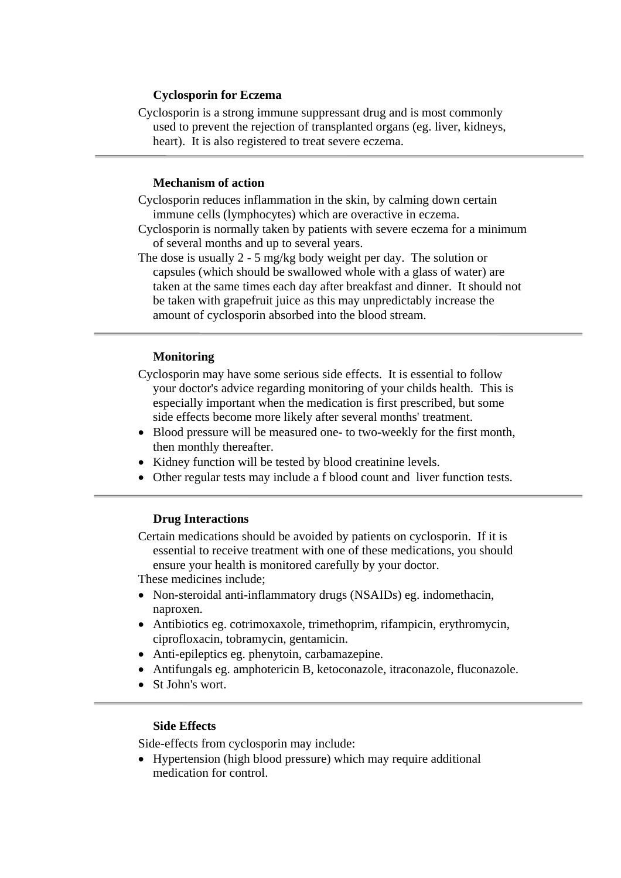## **Cyclosporin for Eczema**

Cyclosporin is a strong immune suppressant drug and is most commonly used to prevent the rejection of transplanted organs (eg. liver, kidneys, heart). It is also registered to treat severe eczema.

#### **Mechanism of action**

 $\overline{a}$ 

- Cyclosporin reduces inflammation in the skin, by calming down certain immune cells (lymphocytes) which are overactive in eczema.
- Cyclosporin is normally taken by patients with severe eczema for a minimum of several months and up to several years.
- The dose is usually 2 5 mg/kg body weight per day. The solution or capsules (which should be swallowed whole with a glass of water) are taken at the same times each day after breakfast and dinner. It should not be taken with grapefruit juice as this may unpredictably increase the amount of cyclosporin absorbed into the blood stream.

#### **Monitoring**

- Cyclosporin may have some serious side effects. It is essential to follow your doctor's advice regarding monitoring of your childs health. This is especially important when the medication is first prescribed, but some side effects become more likely after several months' treatment.
- Blood pressure will be measured one- to two-weekly for the first month, then monthly thereafter.
- Kidney function will be tested by blood creatinine levels.
- Other regular tests may include a f blood count and liver function tests.

### **Drug Interactions**

Certain medications should be avoided by patients on cyclosporin. If it is essential to receive treatment with one of these medications, you should ensure your health is monitored carefully by your doctor.

These medicines include;

- Non-steroidal anti-inflammatory drugs (NSAIDs) eg. indomethacin, naproxen.
- Antibiotics eg. cotrimoxaxole, trimethoprim, rifampicin, erythromycin, ciprofloxacin, tobramycin, gentamicin.
- Anti-epileptics eg. phenytoin, carbamazepine.
- Antifungals eg. amphotericin B, ketoconazole, itraconazole, fluconazole.
- St John's wort.

#### **Side Effects**

Side-effects from cyclosporin may include:

• Hypertension (high blood pressure) which may require additional medication for control.